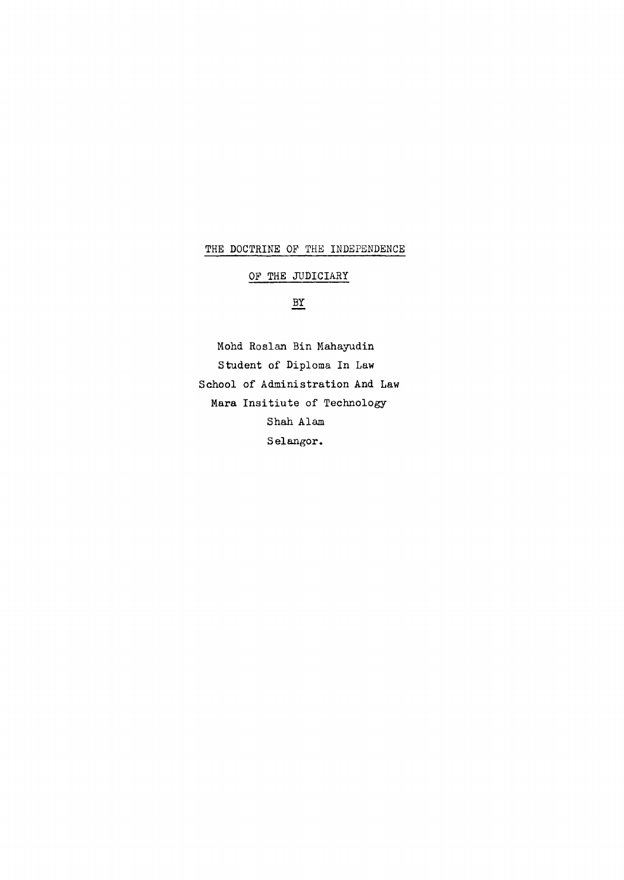## THE DOCTRINE OF THE INDEPENDENCE

# OF THE JUDICIARY

## **BY**

Mohd Roslan Bin Mahayudin Student of Diploma In Law School of Administration And Law Mara Insitiute of Technology Shah Alam Selangor.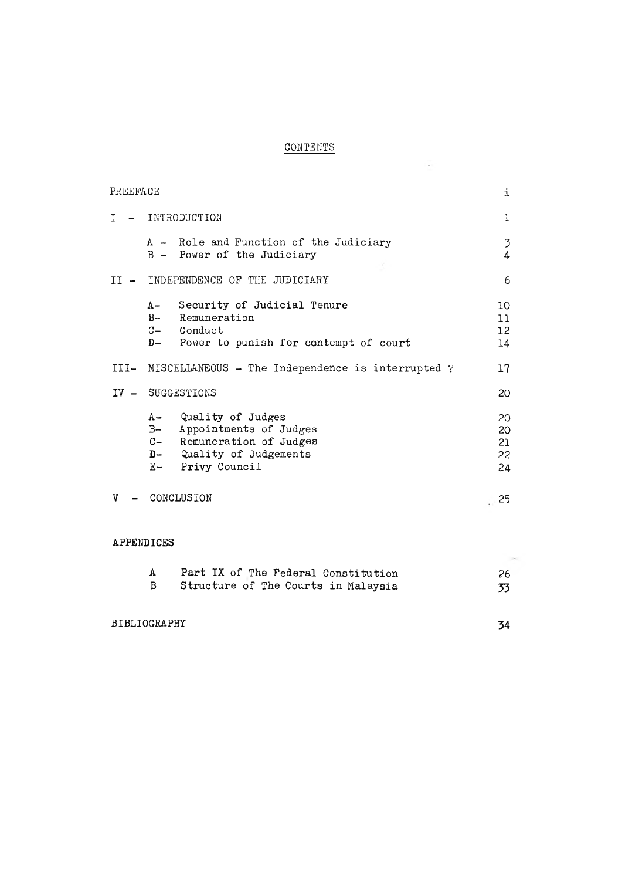# **CONTENTS**

 $\mathcal{L} = \{ \mathcal{L} \}$  .

| PREEFACE   |       |                                                                                                                             | i                          |
|------------|-------|-----------------------------------------------------------------------------------------------------------------------------|----------------------------|
| Τ          |       | INTRODUCTION                                                                                                                | 1                          |
|            |       | A - Role and Function of the Judiciary<br>B - Power of the Judiciary                                                        | 3<br>4                     |
|            |       | II - INDEPENDENCE OF THE JUDICIARY                                                                                          | 6                          |
|            | $A -$ | Security of Judicial Tenure<br>B- Remuneration<br>C- Conduct<br>D- Power to punish for contempt of court                    | 10<br>11<br>12<br>14       |
|            |       | III- MISCELLANEOUS - The Independence is interrupted ?                                                                      | 17                         |
|            |       | IV - SUGGESTIONS                                                                                                            | 20                         |
|            | $B-$  | A- Quality of Judges<br>Appointments of Judges<br>C- Remuneration of Judges<br>D- Quality of Judgements<br>E- Privy Council | 20<br>20<br>21<br>22<br>24 |
| V          |       | CONCLUSION                                                                                                                  | .25                        |
| APPENDICES |       |                                                                                                                             |                            |

| $\mathbf{A}$ | Part IX of The Federal Constitution |    |
|--------------|-------------------------------------|----|
|              | Structure of The Courts in Malaysia | 33 |

BIBLIOGRAPHY **34**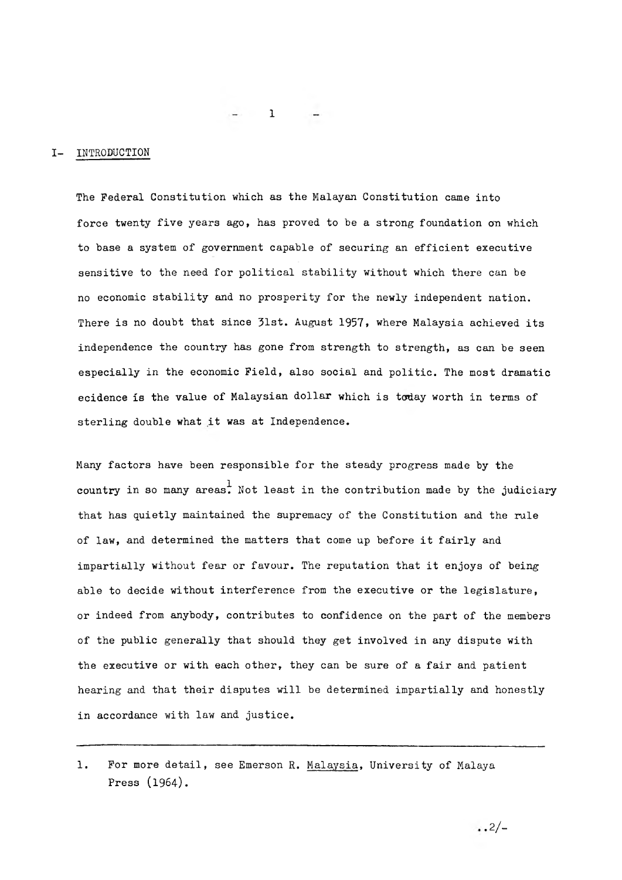#### I- INTRODUCTION

The Federal Constitution which as the Malayan Constitution came into force twenty five years ago, has proved to be a strong foundation on which to base a system of government capable of securing an efficient executive sensitive to the need for political stability without which there can be no economic stability and no prosperity for the newly independent nation. There is no doubt that since 31st. August 1957, where Malaysia achieved its independence the country has gone from strength to strength, as can be seen especially in the economic Field, also social and politic. The most dramatic ecidence is the value of Malaysian dollar which is today worth in terms of sterling double what it was at Independence.

Many factors have been responsible for the steady progress made by the country in so many areas. Not least in the contribution made by the judiciary that has quietly maintained the supremacy of the Constitution and the rule of law, and determined the matters that come up before it fairly and impartially without fear or favour. The reputation that it enjoys of being able to decide without interference from the executive or the legislature, or indeed from anybody, contributes to confidence on the part of the members of the public generally that should they get involved in any dispute with the executive or with each other, they can be sure of a fair and patient hearing and that their disputes will be determined impartially and honestly in accordance with law and justice.

1. For more detail, see Emerson R. Malaysia, University of Malaya Press  $(1964)$ .

 $\cdot \cdot \frac{2}{-}$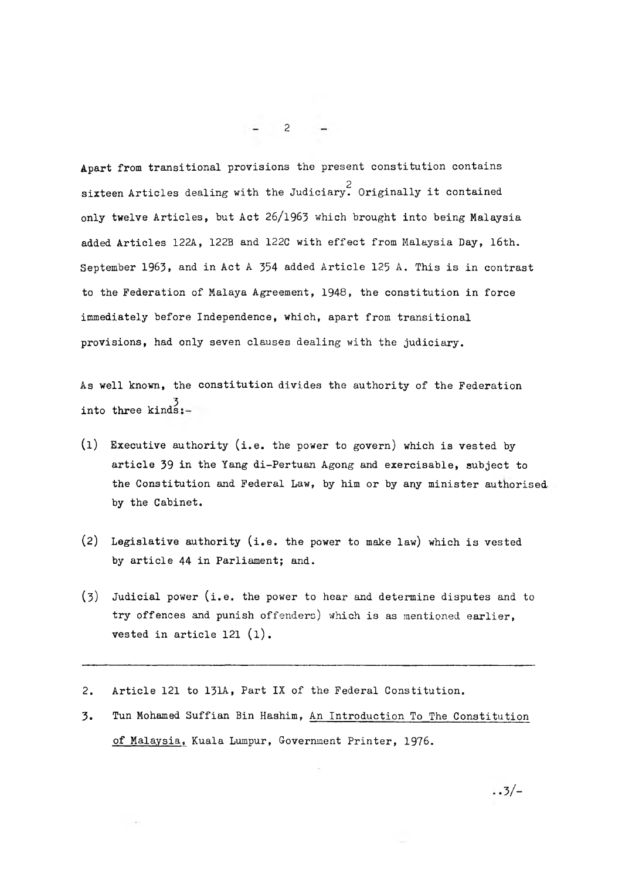Apart from transitional provisions the present constitution contains 2 sixteen Articles dealing with the Judiciary. Originally it contained only twelve Articles, but Act 26/1963 which brought into being Malaysia added Articles 122A, 122B and 122C with effect from Malaysia Day, 16th. September 1963, and in Act A 354 added Article 125 A. This is in contrast to the Federation of Malaya Agreement, 1948, the constitution in force immediately before Independence, which, apart from transitional provisions, had only seven clauses dealing with the judiciary.

As well known, the constitution divides the authority of the Federation 3 into three kinds

- (1) Executive authority (i.e. the power to govern) which is vested by article 39 in the Yang di-Pertuan Agong and exercisable, subject to the Constitution and Federal Law, by him or by any minister authorised by the Cabinet.
- (2) Legislative authority (i.e. the power to make law) which is vested by article 44 in Parliament; and.
- (3) Judicial power (i.e. the power to hear and determine disputes and to try offences and punish offenders) which is as mentioned earlier, vested in article 121 (1).
- 2. Article 121 to 131A, Part IX of the Federal Constitution.
- 3. Tun Mohamed Suffian Bin Hashim, An Introduction To The Constitution of Malaysia, Kuala Lumpur, Government Printer, 1976.

2